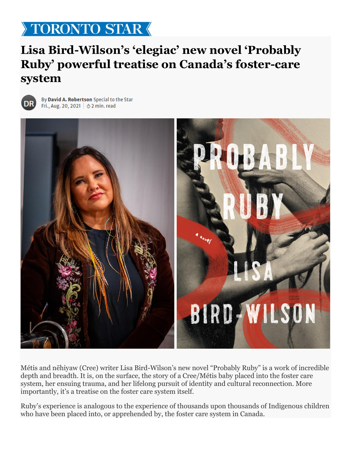## TORONTO STAR

## **Lisa Bird-Wilson's 'elegiac' new novel 'Probably Ruby' powerful treatise on Canada's foster-care system**



By David A. Robertson Special to the Star Fri., Aug. 20, 2021 |  $\odot$  2 min. read



Métis and nēhiyaw (Cree) writer Lisa Bird-Wilson's new novel "Probably Ruby" is a work of incredible depth and breadth. It is, on the surface, the story of a Cree/Métis baby placed into the foster care system, her ensuing trauma, and her lifelong pursuit of identity and cultural reconnection. More importantly, it's a treatise on the foster care system itself.

Ruby's experience is analogous to the experience of thousands upon thousands of Indigenous children who have been placed into, or apprehended by, the foster care system in Canada.